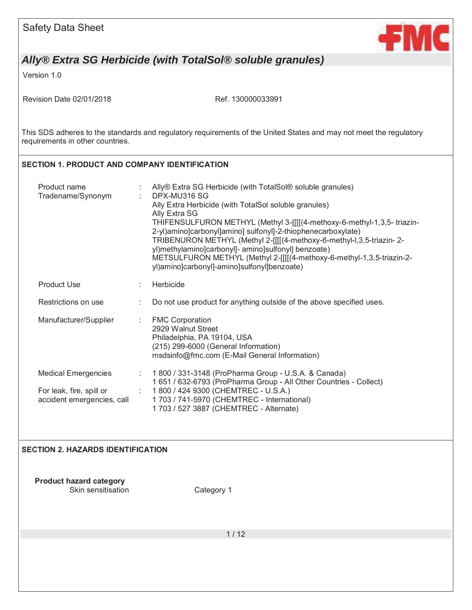

Version 1.0

Revision Date 02/01/2018 Ref. 130000033991

This SDS adheres to the standards and regulatory requirements of the United States and may not meet the regulatory requirements in other countries.

### **SECTION 1. PRODUCT AND COMPANY IDENTIFICATION**

| Product name<br>Tradename/Synonym                      |    | Ally® Extra SG Herbicide (with TotalSol® soluble granules)<br>DPX-MU316 SG<br>Ally Extra Herbicide (with TotalSol soluble granules)<br>Ally Extra SG<br>THIFENSULFURON METHYL (Methyl 3-[[[[(4-methoxy-6-methyl-1,3,5- triazin-<br>2-yl)amino]carbonyl]amino] sulfonyl]-2-thiophenecarboxylate)<br>TRIBENURON METHYL (Methyl 2-[[[[(4-methoxy-6-methyl-l,3,5-triazin-2-<br>yl)methylamino]carbonyl]- amino]sulfonyl] benzoate)<br>METSULFURON METHYL (Methyl 2-[[[[(4-methoxy-6-methyl-1,3,5-triazin-2-<br>yl)amino]carbonyl]-amino]sulfonyl]benzoate) |
|--------------------------------------------------------|----|--------------------------------------------------------------------------------------------------------------------------------------------------------------------------------------------------------------------------------------------------------------------------------------------------------------------------------------------------------------------------------------------------------------------------------------------------------------------------------------------------------------------------------------------------------|
| <b>Product Use</b>                                     |    | Herbicide                                                                                                                                                                                                                                                                                                                                                                                                                                                                                                                                              |
| Restrictions on use                                    |    | Do not use product for anything outside of the above specified uses.                                                                                                                                                                                                                                                                                                                                                                                                                                                                                   |
| Manufacturer/Supplier                                  | ÷. | <b>FMC Corporation</b><br>2929 Walnut Street<br>Philadelphia, PA 19104, USA<br>(215) 299-6000 (General Information)<br>msdsinfo@fmc.com (E-Mail General Information)                                                                                                                                                                                                                                                                                                                                                                                   |
| <b>Medical Emergencies</b>                             | ÷. | 1 800 / 331-3148 (ProPharma Group - U.S.A. & Canada)<br>1 651 / 632-6793 (ProPharma Group - All Other Countries - Collect)                                                                                                                                                                                                                                                                                                                                                                                                                             |
| For leak, fire, spill or<br>accident emergencies, call | ÷  | 1800 / 424 9300 (CHEMTREC - U.S.A.)<br>1 703 / 741-5970 (CHEMTREC - International)<br>1 703 / 527 3887 (CHEMTREC - Alternate)                                                                                                                                                                                                                                                                                                                                                                                                                          |

### **SECTION 2. HAZARDS IDENTIFICATION**

**Product hazard category**  Skin sensitisation Category 1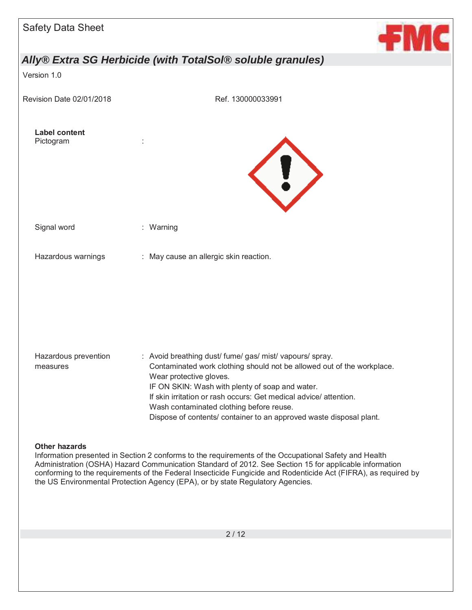

Version 1.0

Revision Date 02/01/2018 Ref. 130000033991





Signal word : Warning

Hazardous warnings : May cause an allergic skin reaction.

Hazardous prevention measures : Avoid breathing dust/ fume/ gas/ mist/ vapours/ spray. Contaminated work clothing should not be allowed out of the workplace. Wear protective gloves. IF ON SKIN: Wash with plenty of soap and water. If skin irritation or rash occurs: Get medical advice/ attention. Wash contaminated clothing before reuse. Dispose of contents/ container to an approved waste disposal plant.

### **Other hazards**

Information presented in Section 2 conforms to the requirements of the Occupational Safety and Health Administration (OSHA) Hazard Communication Standard of 2012. See Section 15 for applicable information conforming to the requirements of the Federal Insecticide Fungicide and Rodenticide Act (FIFRA), as required by the US Environmental Protection Agency (EPA), or by state Regulatory Agencies.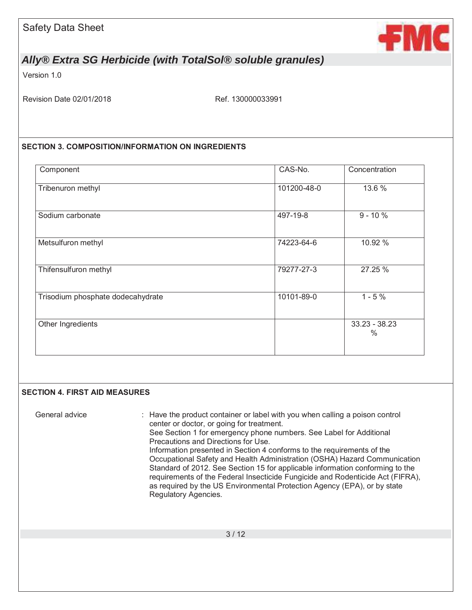

Version 1.0

Revision Date 02/01/2018 Ref. 130000033991

### **SECTION 3. COMPOSITION/INFORMATION ON INGREDIENTS**

| Component                         | CAS-No.     | Concentration           |
|-----------------------------------|-------------|-------------------------|
| Tribenuron methyl                 | 101200-48-0 | 13.6 %                  |
| Sodium carbonate                  | 497-19-8    | $9 - 10%$               |
| Metsulfuron methyl                | 74223-64-6  | 10.92 %                 |
| Thifensulfuron methyl             | 79277-27-3  | 27.25 %                 |
| Trisodium phosphate dodecahydrate | 10101-89-0  | $1 - 5%$                |
| Other Ingredients                 |             | $33.23 - 38.23$<br>$\%$ |

### **SECTION 4. FIRST AID MEASURES**

General advice : Have the product container or label with you when calling a poison control center or doctor, or going for treatment. See Section 1 for emergency phone numbers. See Label for Additional Precautions and Directions for Use. Information presented in Section 4 conforms to the requirements of the Occupational Safety and Health Administration (OSHA) Hazard Communication Standard of 2012. See Section 15 for applicable information conforming to the requirements of the Federal Insecticide Fungicide and Rodenticide Act (FIFRA), as required by the US Environmental Protection Agency (EPA), or by state Regulatory Agencies.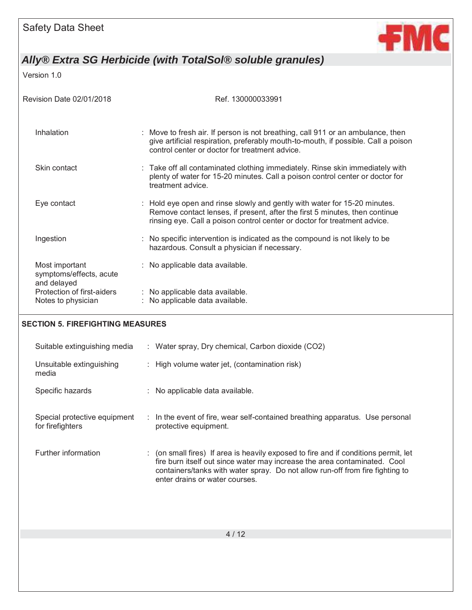

Version 1.0

| Revision Date 02/01/2018                                 | Ref. 130000033991                                                                                                                                                                                                                     |  |  |
|----------------------------------------------------------|---------------------------------------------------------------------------------------------------------------------------------------------------------------------------------------------------------------------------------------|--|--|
| Inhalation                                               | : Move to fresh air. If person is not breathing, call 911 or an ambulance, then<br>give artificial respiration, preferably mouth-to-mouth, if possible. Call a poison<br>control center or doctor for treatment advice.               |  |  |
| Skin contact                                             | : Take off all contaminated clothing immediately. Rinse skin immediately with<br>plenty of water for 15-20 minutes. Call a poison control center or doctor for<br>treatment advice.                                                   |  |  |
| Eye contact                                              | : Hold eye open and rinse slowly and gently with water for 15-20 minutes.<br>Remove contact lenses, if present, after the first 5 minutes, then continue<br>rinsing eye. Call a poison control center or doctor for treatment advice. |  |  |
| Ingestion                                                | : No specific intervention is indicated as the compound is not likely to be<br>hazardous. Consult a physician if necessary.                                                                                                           |  |  |
| Most important<br>symptoms/effects, acute<br>and delayed | : No applicable data available.                                                                                                                                                                                                       |  |  |
| Protection of first-aiders<br>Notes to physician         | : No applicable data available.<br>No applicable data available.                                                                                                                                                                      |  |  |

### **SECTION 5. FIREFIGHTING MEASURES**

| Suitable extinguishing media                     | : Water spray, Dry chemical, Carbon dioxide (CO2)                                                                                                                                                                                                                                   |
|--------------------------------------------------|-------------------------------------------------------------------------------------------------------------------------------------------------------------------------------------------------------------------------------------------------------------------------------------|
| Unsuitable extinguishing<br>media                | : High volume water jet, (contamination risk)                                                                                                                                                                                                                                       |
| Specific hazards                                 | : No applicable data available.                                                                                                                                                                                                                                                     |
| Special protective equipment<br>for firefighters | : In the event of fire, wear self-contained breathing apparatus. Use personal<br>protective equipment.                                                                                                                                                                              |
| Further information                              | : (on small fires) If area is heavily exposed to fire and if conditions permit, let<br>fire burn itself out since water may increase the area contaminated. Cool<br>containers/tanks with water spray. Do not allow run-off from fire fighting to<br>enter drains or water courses. |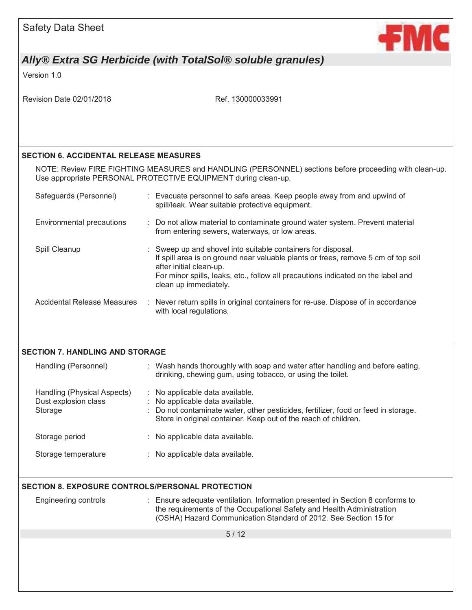

Version 1.0

| Revision Date 02/01/2018                                       | Ref. 130000033991                                                                                                                                                                                                                                                                       |
|----------------------------------------------------------------|-----------------------------------------------------------------------------------------------------------------------------------------------------------------------------------------------------------------------------------------------------------------------------------------|
|                                                                |                                                                                                                                                                                                                                                                                         |
| <b>SECTION 6. ACCIDENTAL RELEASE MEASURES</b>                  |                                                                                                                                                                                                                                                                                         |
|                                                                | NOTE: Review FIRE FIGHTING MEASURES and HANDLING (PERSONNEL) sections before proceeding with clean-up.<br>Use appropriate PERSONAL PROTECTIVE EQUIPMENT during clean-up.                                                                                                                |
| Safeguards (Personnel)                                         | : Evacuate personnel to safe areas. Keep people away from and upwind of<br>spill/leak. Wear suitable protective equipment.                                                                                                                                                              |
| Environmental precautions                                      | : Do not allow material to contaminate ground water system. Prevent material<br>from entering sewers, waterways, or low areas.                                                                                                                                                          |
| Spill Cleanup                                                  | Sweep up and shovel into suitable containers for disposal.<br>If spill area is on ground near valuable plants or trees, remove 5 cm of top soil<br>after initial clean-up.<br>For minor spills, leaks, etc., follow all precautions indicated on the label and<br>clean up immediately. |
| <b>Accidental Release Measures</b>                             | : Never return spills in original containers for re-use. Dispose of in accordance<br>with local regulations.                                                                                                                                                                            |
| <b>SECTION 7. HANDLING AND STORAGE</b>                         |                                                                                                                                                                                                                                                                                         |
| Handling (Personnel)                                           | : Wash hands thoroughly with soap and water after handling and before eating,<br>drinking, chewing gum, using tobacco, or using the toilet.                                                                                                                                             |
| Handling (Physical Aspects)<br>Dust explosion class<br>Storage | : No applicable data available.<br>: No applicable data available.<br>Do not contaminate water, other pesticides, fertilizer, food or feed in storage.<br>Store in original container. Keep out of the reach of children.                                                               |
| Storage period                                                 | No applicable data available.                                                                                                                                                                                                                                                           |
| Storage temperature                                            | : No applicable data available.                                                                                                                                                                                                                                                         |
| <b>SECTION 8. EXPOSURE CONTROLS/PERSONAL PROTECTION</b>        |                                                                                                                                                                                                                                                                                         |
| <b>Engineering controls</b>                                    | Ensure adequate ventilation. Information presented in Section 8 conforms to<br>÷.<br>the requirements of the Occupational Safety and Health Administration<br>(OSHA) Hazard Communication Standard of 2012. See Section 15 for                                                          |
|                                                                | 5/12                                                                                                                                                                                                                                                                                    |
|                                                                |                                                                                                                                                                                                                                                                                         |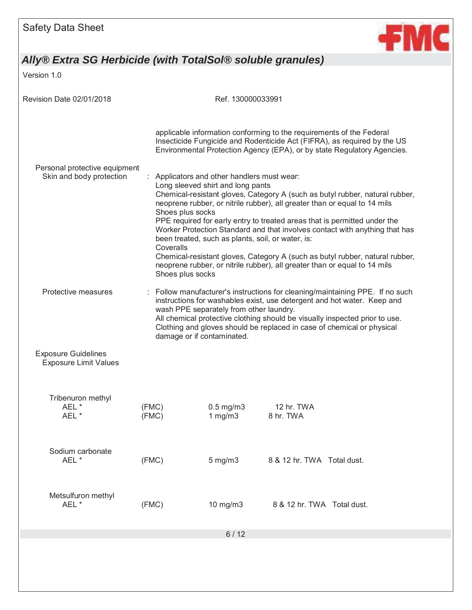

Version 1.0

| Revision Date 02/01/2018                                   |                |                                                   | Ref. 130000033991                                                                                                                   |                                                                                                                                                                                                                                                                                                                                                                                                                                                                                    |
|------------------------------------------------------------|----------------|---------------------------------------------------|-------------------------------------------------------------------------------------------------------------------------------------|------------------------------------------------------------------------------------------------------------------------------------------------------------------------------------------------------------------------------------------------------------------------------------------------------------------------------------------------------------------------------------------------------------------------------------------------------------------------------------|
|                                                            |                |                                                   |                                                                                                                                     | applicable information conforming to the requirements of the Federal<br>Insecticide Fungicide and Rodenticide Act (FIFRA), as required by the US<br>Environmental Protection Agency (EPA), or by state Regulatory Agencies.                                                                                                                                                                                                                                                        |
| Personal protective equipment<br>Skin and body protection  |                | Shoes plus socks<br>Coveralls<br>Shoes plus socks | Applicators and other handlers must wear:<br>Long sleeved shirt and long pants<br>been treated, such as plants, soil, or water, is: | Chemical-resistant gloves, Category A (such as butyl rubber, natural rubber,<br>neoprene rubber, or nitrile rubber), all greater than or equal to 14 mils<br>PPE required for early entry to treated areas that is permitted under the<br>Worker Protection Standard and that involves contact with anything that has<br>Chemical-resistant gloves, Category A (such as butyl rubber, natural rubber,<br>neoprene rubber, or nitrile rubber), all greater than or equal to 14 mils |
| Protective measures                                        |                | damage or if contaminated.                        | wash PPE separately from other laundry.                                                                                             | Follow manufacturer's instructions for cleaning/maintaining PPE. If no such<br>instructions for washables exist, use detergent and hot water. Keep and<br>All chemical protective clothing should be visually inspected prior to use.<br>Clothing and gloves should be replaced in case of chemical or physical                                                                                                                                                                    |
| <b>Exposure Guidelines</b><br><b>Exposure Limit Values</b> |                |                                                   |                                                                                                                                     |                                                                                                                                                                                                                                                                                                                                                                                                                                                                                    |
| Tribenuron methyl<br>AEL <sup>*</sup><br>AEL <sup>*</sup>  | (FMC)<br>(FMC) |                                                   | $0.5$ mg/m $3$<br>1 mg/m $3$                                                                                                        | 12 hr. TWA<br>8 hr. TWA                                                                                                                                                                                                                                                                                                                                                                                                                                                            |
| Sodium carbonate<br>AEL *                                  | (FMC)          |                                                   | $5$ mg/m $3$                                                                                                                        | 8 & 12 hr. TWA Total dust.                                                                                                                                                                                                                                                                                                                                                                                                                                                         |
| Metsulfuron methyl<br>AEL *                                | (FMC)          |                                                   | 10 mg/m3                                                                                                                            | 8 & 12 hr. TWA Total dust.                                                                                                                                                                                                                                                                                                                                                                                                                                                         |
|                                                            |                |                                                   | $6/12$                                                                                                                              |                                                                                                                                                                                                                                                                                                                                                                                                                                                                                    |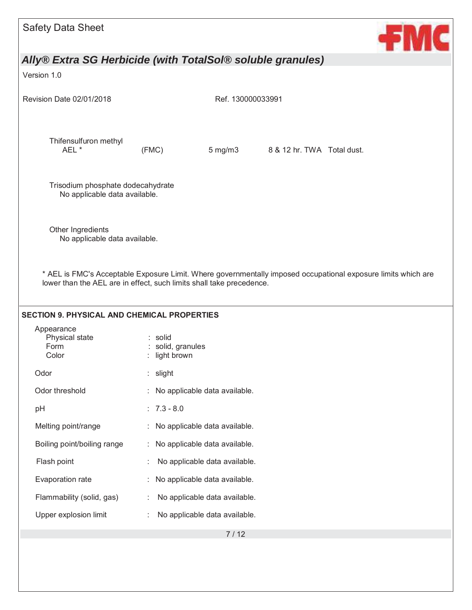| <b>Safety Data Sheet</b>                                                                            |                                           |                               |                                                                                                               | ←МС |
|-----------------------------------------------------------------------------------------------------|-------------------------------------------|-------------------------------|---------------------------------------------------------------------------------------------------------------|-----|
| Ally® Extra SG Herbicide (with TotalSol® soluble granules)                                          |                                           |                               |                                                                                                               |     |
| Version 1.0                                                                                         |                                           |                               |                                                                                                               |     |
| Revision Date 02/01/2018                                                                            |                                           | Ref. 130000033991             |                                                                                                               |     |
| Thifensulfuron methyl<br>AEL *                                                                      | (FMC)                                     | $5 \text{ mg/m}$ 3            | 8 & 12 hr. TWA Total dust.                                                                                    |     |
| Trisodium phosphate dodecahydrate<br>No applicable data available.                                  |                                           |                               |                                                                                                               |     |
| Other Ingredients<br>No applicable data available.                                                  |                                           |                               |                                                                                                               |     |
| lower than the AEL are in effect, such limits shall take precedence.                                |                                           |                               | * AEL is FMC's Acceptable Exposure Limit. Where governmentally imposed occupational exposure limits which are |     |
| <b>SECTION 9. PHYSICAL AND CHEMICAL PROPERTIES</b><br>Appearance<br>Physical state<br>Form<br>Color | : solid<br>solid, granules<br>light brown |                               |                                                                                                               |     |
| Odor                                                                                                | slight<br>÷                               |                               |                                                                                                               |     |
| Odor threshold                                                                                      |                                           | No applicable data available. |                                                                                                               |     |
| pH                                                                                                  | $: 7.3 - 8.0$                             |                               |                                                                                                               |     |
| Melting point/range                                                                                 | ÷                                         | No applicable data available. |                                                                                                               |     |
| Boiling point/boiling range                                                                         |                                           | No applicable data available. |                                                                                                               |     |
| Flash point                                                                                         |                                           | No applicable data available. |                                                                                                               |     |
| Evaporation rate                                                                                    |                                           | No applicable data available. |                                                                                                               |     |
| Flammability (solid, gas)                                                                           |                                           | No applicable data available. |                                                                                                               |     |
| Upper explosion limit                                                                               |                                           | No applicable data available. |                                                                                                               |     |
|                                                                                                     |                                           | 7/12                          |                                                                                                               |     |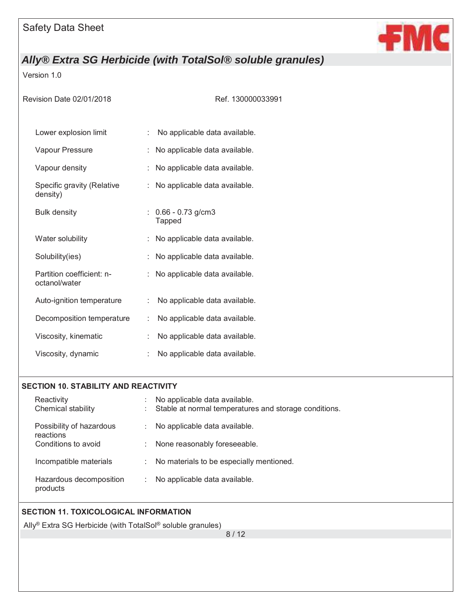

Version 1.0

| Revision Date 02/01/2018                   | Ref. 130000033991                      |
|--------------------------------------------|----------------------------------------|
| Lower explosion limit                      | No applicable data available.<br>÷.    |
| Vapour Pressure                            | No applicable data available.          |
| Vapour density                             | No applicable data available.          |
| Specific gravity (Relative<br>density)     | No applicable data available.          |
| <b>Bulk density</b>                        | $: 0.66 - 0.73$ g/cm3<br><b>Tapped</b> |
| Water solubility                           | No applicable data available.          |
| Solubility(ies)                            | No applicable data available.          |
| Partition coefficient: n-<br>octanol/water | : No applicable data available.        |
| Auto-ignition temperature                  | No applicable data available.<br>÷     |
| Decomposition temperature                  | No applicable data available.<br>÷     |
| Viscosity, kinematic                       | No applicable data available.          |
| Viscosity, dynamic                         | No applicable data available.          |
|                                            |                                        |

### **SECTION 10. STABILITY AND REACTIVITY**

| Reactivity<br>Chemical stability      | No applicable data available.<br>Stable at normal temperatures and storage conditions.<br>t. |
|---------------------------------------|----------------------------------------------------------------------------------------------|
| Possibility of hazardous<br>reactions | No applicable data available.<br>$\mathbb{R}^{\mathbb{Z}}$                                   |
| Conditions to avoid                   | None reasonably foreseeable.<br>÷.                                                           |
| Incompatible materials                | No materials to be especially mentioned.<br>÷.                                               |
| Hazardous decomposition<br>products   | No applicable data available.<br>÷.                                                          |

## **SECTION 11. TOXICOLOGICAL INFORMATION**

Ally® Extra SG Herbicide (with TotalSol® soluble granules)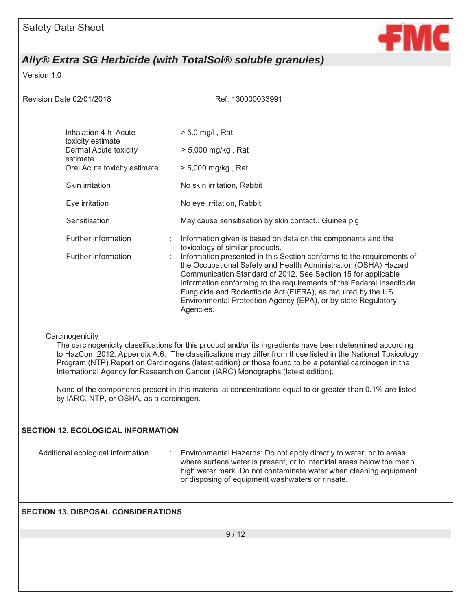

Version 1.0

Revision Date 02/01/2018 Ref. 130000033991

| Inhalation 4 h Acute<br>toxicity estimate | $\mathbb{R}^{n}$ | $> 5.0$ mg/l, Rat                                                                                                                                                                                                                                                                                                                                                                                                                  |
|-------------------------------------------|------------------|------------------------------------------------------------------------------------------------------------------------------------------------------------------------------------------------------------------------------------------------------------------------------------------------------------------------------------------------------------------------------------------------------------------------------------|
| Dermal Acute toxicity<br>estimate         | t.               | > 5,000 mg/kg, Rat                                                                                                                                                                                                                                                                                                                                                                                                                 |
| Oral Acute toxicity estimate :            |                  | $> 5,000$ mg/kg, Rat                                                                                                                                                                                                                                                                                                                                                                                                               |
| Skin irritation                           |                  | : No skin irritation, Rabbit                                                                                                                                                                                                                                                                                                                                                                                                       |
| Eye irritation                            |                  | No eye irritation, Rabbit                                                                                                                                                                                                                                                                                                                                                                                                          |
| Sensitisation                             |                  | May cause sensitisation by skin contact., Guinea pig                                                                                                                                                                                                                                                                                                                                                                               |
| Further information                       |                  | : Information given is based on data on the components and the<br>toxicology of similar products.                                                                                                                                                                                                                                                                                                                                  |
| Further information                       |                  | : Information presented in this Section conforms to the requirements of<br>the Occupational Safety and Health Administration (OSHA) Hazard<br>Communication Standard of 2012. See Section 15 for applicable<br>information conforming to the requirements of the Federal Insecticide<br>Fungicide and Rodenticide Act (FIFRA), as required by the US<br>Environmental Protection Agency (EPA), or by state Regulatory<br>Agencies. |

### **Carcinogenicity**

The carcinogenicity classifications for this product and/or its ingredients have been determined according to HazCom 2012, Appendix A.6. The classifications may differ from those listed in the National Toxicology Program (NTP) Report on Carcinogens (latest edition) or those found to be a potential carcinogen in the International Agency for Research on Cancer (IARC) Monographs (latest edition).

None of the components present in this material at concentrations equal to or greater than 0.1% are listed by IARC, NTP, or OSHA, as a carcinogen.

### **SECTION 12. ECOLOGICAL INFORMATION**

Additional ecological information : Environmental Hazards: Do not apply directly to water, or to areas where surface water is present, or to intertidal areas below the mean high water mark. Do not contaminate water when cleaning equipment or disposing of equipment washwaters or rinsate.

### **SECTION 13. DISPOSAL CONSIDERATIONS**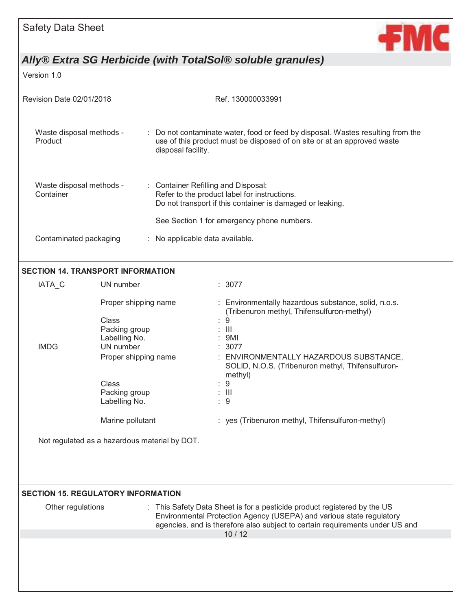

Version 1.0

| Revision Date 02/01/2018              | Ref. 130000033991                                                                                                                                                                |  |  |
|---------------------------------------|----------------------------------------------------------------------------------------------------------------------------------------------------------------------------------|--|--|
| Waste disposal methods -<br>Product   | : Do not contaminate water, food or feed by disposal. Wastes resulting from the<br>use of this product must be disposed of on site or at an approved waste<br>disposal facility. |  |  |
| Waste disposal methods -<br>Container | : Container Refilling and Disposal:<br>Refer to the product label for instructions.<br>Do not transport if this container is damaged or leaking.                                 |  |  |
| Contaminated packaging                | See Section 1 for emergency phone numbers.<br>: No applicable data available.                                                                                                    |  |  |
| CECTION 44 TRANCRODT INFORMATION      |                                                                                                                                                                                  |  |  |

### **SECTION 14. TRANSPORT INFORMATION**

| IATA C      | UN number            | : 3077                                                                                                 |
|-------------|----------------------|--------------------------------------------------------------------------------------------------------|
|             | Proper shipping name | : Environmentally hazardous substance, solid, n.o.s.<br>(Tribenuron methyl, Thifensulfuron-methyl)     |
|             | Class                | -9<br>÷.                                                                                               |
|             | Packing group        | $\therefore$ $\parallel$                                                                               |
|             | Labelling No.        | : 9MI                                                                                                  |
| <b>IMDG</b> | UN number            | : 3077                                                                                                 |
|             | Proper shipping name | : ENVIRONMENTALLY HAZARDOUS SUBSTANCE,<br>SOLID, N.O.S. (Tribenuron methyl, Thifensulfuron-<br>methyl) |
|             | Class                | : 9                                                                                                    |
|             | Packing group        | $\therefore$ $\parallel$                                                                               |
|             | Labelling No.        | : 9                                                                                                    |
|             | Marine pollutant     | : yes (Tribenuron methyl, Thifensulfuron-methyl)                                                       |

Not regulated as a hazardous material by DOT.

## SECTION 15. REGULATORY INFORMATION

| <b>SECTION 13. REGULATURT INFURMATION</b> |                                                                                                                                                                                                                                  |  |
|-------------------------------------------|----------------------------------------------------------------------------------------------------------------------------------------------------------------------------------------------------------------------------------|--|
| Other regulations                         | : This Safety Data Sheet is for a pesticide product registered by the US<br>Environmental Protection Agency (USEPA) and various state regulatory<br>agencies, and is therefore also subject to certain requirements under US and |  |
|                                           | 10/12                                                                                                                                                                                                                            |  |
|                                           |                                                                                                                                                                                                                                  |  |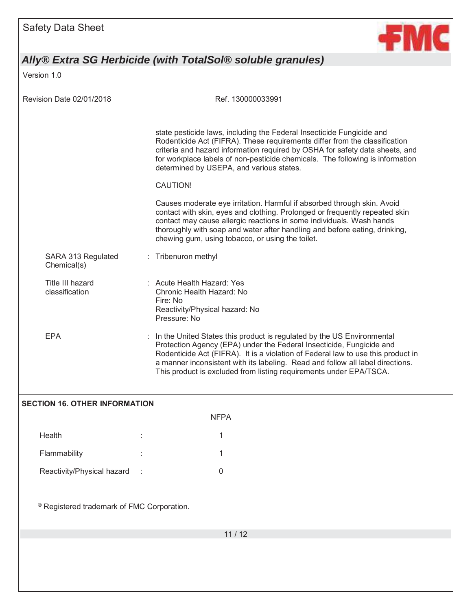

Version 1.0

| <b>Revision Date 02/01/2018</b>      | Ref. 130000033991                                                                                                                                                                                                                                                                                                                                                                            |  |  |
|--------------------------------------|----------------------------------------------------------------------------------------------------------------------------------------------------------------------------------------------------------------------------------------------------------------------------------------------------------------------------------------------------------------------------------------------|--|--|
|                                      | state pesticide laws, including the Federal Insecticide Fungicide and<br>Rodenticide Act (FIFRA). These requirements differ from the classification<br>criteria and hazard information required by OSHA for safety data sheets, and<br>for workplace labels of non-pesticide chemicals. The following is information<br>determined by USEPA, and various states.                             |  |  |
|                                      | <b>CAUTION!</b>                                                                                                                                                                                                                                                                                                                                                                              |  |  |
|                                      | Causes moderate eye irritation. Harmful if absorbed through skin. Avoid<br>contact with skin, eyes and clothing. Prolonged or frequently repeated skin<br>contact may cause allergic reactions in some individuals. Wash hands<br>thoroughly with soap and water after handling and before eating, drinking,<br>chewing gum, using tobacco, or using the toilet.                             |  |  |
| SARA 313 Regulated<br>Chemical(s)    | Tribenuron methyl                                                                                                                                                                                                                                                                                                                                                                            |  |  |
| Title III hazard<br>classification   | : Acute Health Hazard: Yes<br>Chronic Health Hazard: No<br>Fire: No<br>Reactivity/Physical hazard: No<br>Pressure: No                                                                                                                                                                                                                                                                        |  |  |
| <b>EPA</b>                           | : In the United States this product is regulated by the US Environmental<br>Protection Agency (EPA) under the Federal Insecticide, Fungicide and<br>Rodenticide Act (FIFRA). It is a violation of Federal law to use this product in<br>a manner inconsistent with its labeling. Read and follow all label directions.<br>This product is excluded from listing requirements under EPA/TSCA. |  |  |
| <b>SECTION 16. OTHER INFORMATION</b> |                                                                                                                                                                                                                                                                                                                                                                                              |  |  |
| <b>NFPA</b>                          |                                                                                                                                                                                                                                                                                                                                                                                              |  |  |

| Health                     | ٠<br>٠ |  |
|----------------------------|--------|--|
| Flammability               | ٠<br>٠ |  |
| Reactivity/Physical hazard | ÷      |  |

® Registered trademark of FMC Corporation.